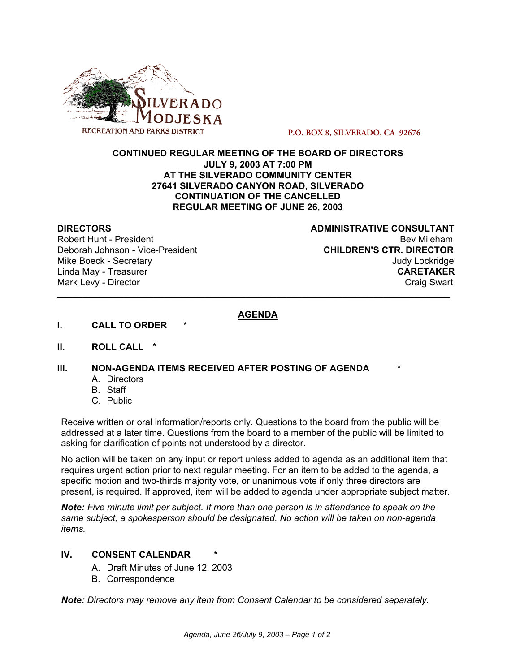

**P.O. BOX 8, SILVERADO, CA 92676**

#### **CONTINUED REGULAR MEETING OF THE BOARD OF DIRECTORS JULY 9, 2003 AT 7:00 PM AT THE SILVERADO COMMUNITY CENTER 27641 SILVERADO CANYON ROAD, SILVERADO CONTINUATION OF THE CANCELLED REGULAR MEETING OF JUNE 26, 2003**

**DIRECTORS** ADMINISTRATIVE CONSULTANT Robert Hunt - President Beville Beville Beville Beville Beville Beville Beville Beville Beville Beville Beville Deborah Johnson - Vice-President **CHILDREN'S CTR. DIRECTOR** Mike Boeck - Secretary **Judy Lockridge** And The Secretary And The Secretary And The Secretary And The Secretary And The Secretary And The Secretary And The Secretary And The Secretary And The Secretary And The Secretary An Linda May - Treasurer **CARETAKER** Mark Levy - Director **Craig Swart** \_\_\_\_\_\_\_\_\_\_\_\_\_\_\_\_\_\_\_\_\_\_\_\_\_\_\_\_\_\_\_\_\_\_\_\_\_\_\_\_\_\_\_\_\_\_\_\_\_\_\_\_\_\_\_\_\_\_\_\_\_\_\_\_\_\_\_\_\_\_\_\_\_\_\_\_\_

## **AGENDA**

- **I.** CALL TO ORDER
- **II. ROLL CALL \***

#### **III. NON-AGENDA ITEMS RECEIVED AFTER POSTING OF AGENDA**

- A. Directors
- B. Staff
- C. Public

Receive written or oral information/reports only. Questions to the board from the public will be addressed at a later time. Questions from the board to a member of the public will be limited to asking for clarification of points not understood by a director.

No action will be taken on any input or report unless added to agenda as an additional item that requires urgent action prior to next regular meeting. For an item to be added to the agenda, a specific motion and two-thirds majority vote, or unanimous vote if only three directors are present, is required. If approved, item will be added to agenda under appropriate subject matter.

*Note: Five minute limit per subject. If more than one person is in attendance to speak on the same subject, a spokesperson should be designated. No action will be taken on non-agenda items.*

## **IV. CONSENT CALENDAR** *\**

- A. Draft Minutes of June 12, 2003
- B. Correspondence

*Note: Directors may remove any item from Consent Calendar to be considered separately.*